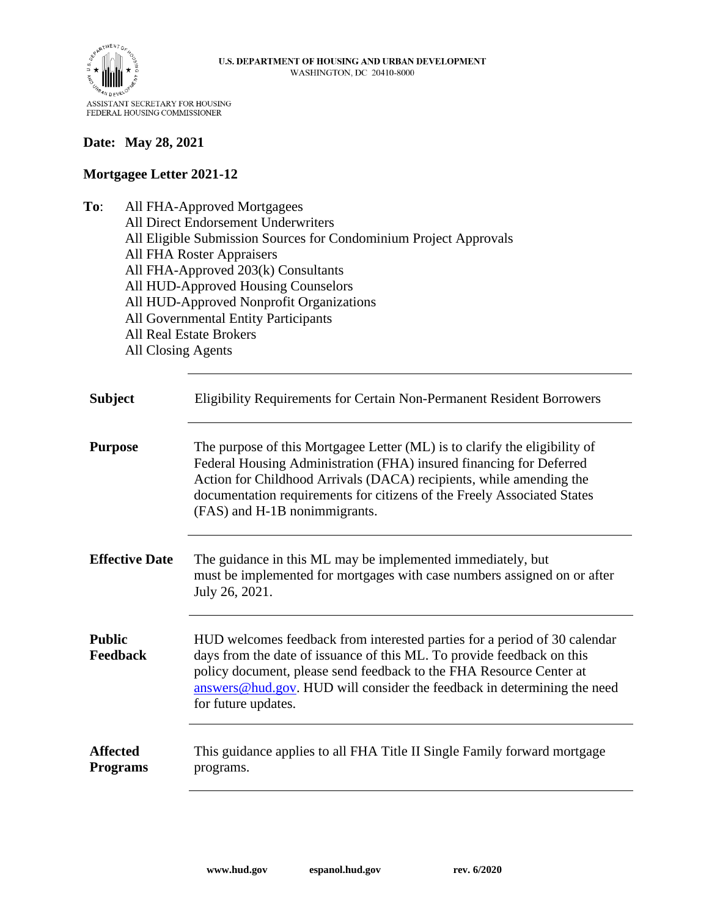

### **Date: May 28, 2021**

### **Mortgagee Letter 2021-12**

**To**: All FHA-Approved Mortgagees All Direct Endorsement Underwriters All Eligible Submission Sources for Condominium Project Approvals All FHA Roster Appraisers All FHA-Approved 203(k) Consultants All HUD-Approved Housing Counselors All HUD-Approved Nonprofit Organizations All Governmental Entity Participants All Real Estate Brokers All Closing Agents

| <b>Subject</b>                     | Eligibility Requirements for Certain Non-Permanent Resident Borrowers                                                                                                                                                                                                                                                                |
|------------------------------------|--------------------------------------------------------------------------------------------------------------------------------------------------------------------------------------------------------------------------------------------------------------------------------------------------------------------------------------|
| <b>Purpose</b>                     | The purpose of this Mortgagee Letter (ML) is to clarify the eligibility of<br>Federal Housing Administration (FHA) insured financing for Deferred<br>Action for Childhood Arrivals (DACA) recipients, while amending the<br>documentation requirements for citizens of the Freely Associated States<br>(FAS) and H-1B nonimmigrants. |
| <b>Effective Date</b>              | The guidance in this ML may be implemented immediately, but<br>must be implemented for mortgages with case numbers assigned on or after<br>July 26, 2021.                                                                                                                                                                            |
| <b>Public</b><br><b>Feedback</b>   | HUD welcomes feedback from interested parties for a period of 30 calendar<br>days from the date of issuance of this ML. To provide feedback on this<br>policy document, please send feedback to the FHA Resource Center at<br>answers@hud.gov. HUD will consider the feedback in determining the need<br>for future updates.         |
| <b>Affected</b><br><b>Programs</b> | This guidance applies to all FHA Title II Single Family forward mortgage<br>programs.                                                                                                                                                                                                                                                |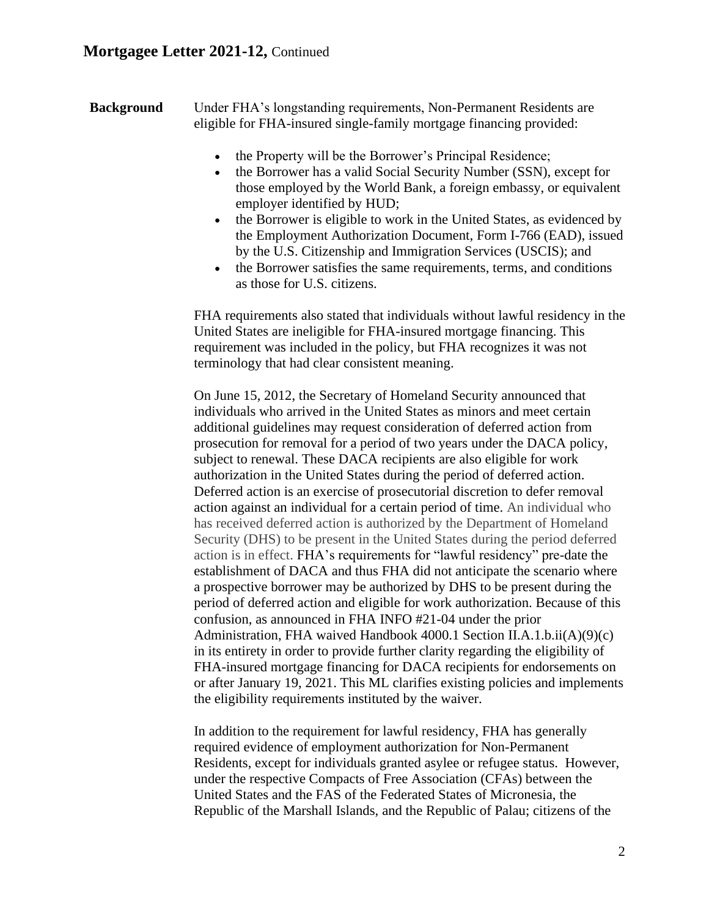## **Mortgagee Letter 2021-12,** Continued

**Background** Under FHA's longstanding requirements, Non-Permanent Residents are eligible for FHA-insured single-family mortgage financing provided:

- the Property will be the Borrower's Principal Residence;
- the Borrower has a valid Social Security Number (SSN), except for those employed by the World Bank, a foreign embassy, or equivalent employer identified by HUD;
- the Borrower is eligible to work in the United States, as evidenced by the Employment Authorization Document, Form I-766 (EAD), issued by the U.S. Citizenship and Immigration Services (USCIS); and
- the Borrower satisfies the same requirements, terms, and conditions as those for U.S. citizens.

FHA requirements also stated that individuals without lawful residency in the United States are ineligible for FHA-insured mortgage financing. This requirement was included in the policy, but FHA recognizes it was not terminology that had clear consistent meaning.

On June 15, 2012, the Secretary of Homeland Security announced that individuals who arrived in the United States as minors and meet certain additional guidelines may request consideration of deferred action from prosecution for removal for a period of two years under the DACA policy, subject to renewal. These DACA recipients are also eligible for work authorization in the United States during the period of deferred action. Deferred action is an exercise of prosecutorial discretion to defer removal action against an individual for a certain period of time. An individual who has received deferred action is authorized by the Department of Homeland Security (DHS) to be present in the United States during the period deferred action is in effect. FHA's requirements for "lawful residency" pre-date the establishment of DACA and thus FHA did not anticipate the scenario where a prospective borrower may be authorized by DHS to be present during the period of deferred action and eligible for work authorization. Because of this confusion, as announced in FHA INFO #21-04 under the prior Administration, FHA waived Handbook 4000.1 Section II.A.1.b.ii(A)(9)(c) in its entirety in order to provide further clarity regarding the eligibility of FHA-insured mortgage financing for DACA recipients for endorsements on or after January 19, 2021. This ML clarifies existing policies and implements the eligibility requirements instituted by the waiver.

In addition to the requirement for lawful residency, FHA has generally required evidence of employment authorization for Non-Permanent Residents, except for individuals granted asylee or refugee status. However, under the respective Compacts of Free Association (CFAs) between the United States and the FAS of the Federated States of Micronesia, the Republic of the Marshall Islands, and the Republic of Palau; citizens of the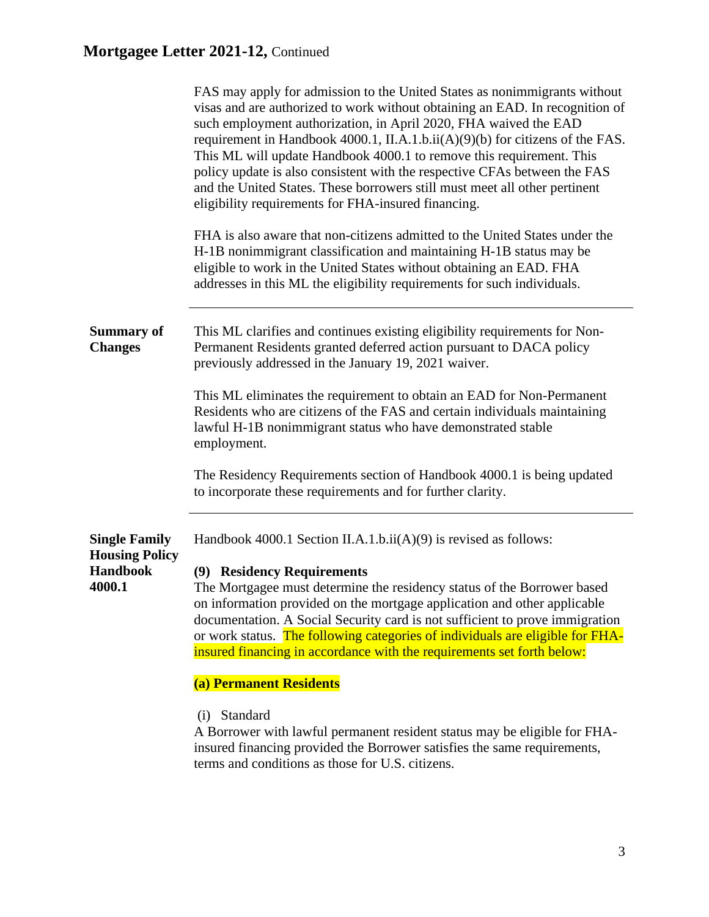# **Mortgagee Letter 2021-12,** Continued

| FAS may apply for admission to the United States as nonimmigrants without<br>visas and are authorized to work without obtaining an EAD. In recognition of<br>such employment authorization, in April 2020, FHA waived the EAD<br>requirement in Handbook 4000.1, II.A.1.b.ii( $A$ )(9)(b) for citizens of the FAS.<br>This ML will update Handbook 4000.1 to remove this requirement. This<br>policy update is also consistent with the respective CFAs between the FAS<br>and the United States. These borrowers still must meet all other pertinent<br>eligibility requirements for FHA-insured financing.<br>FHA is also aware that non-citizens admitted to the United States under the<br>H-1B nonimmigrant classification and maintaining H-1B status may be<br>eligible to work in the United States without obtaining an EAD. FHA<br>addresses in this ML the eligibility requirements for such individuals. |
|----------------------------------------------------------------------------------------------------------------------------------------------------------------------------------------------------------------------------------------------------------------------------------------------------------------------------------------------------------------------------------------------------------------------------------------------------------------------------------------------------------------------------------------------------------------------------------------------------------------------------------------------------------------------------------------------------------------------------------------------------------------------------------------------------------------------------------------------------------------------------------------------------------------------|
| This ML clarifies and continues existing eligibility requirements for Non-<br>Permanent Residents granted deferred action pursuant to DACA policy<br>previously addressed in the January 19, 2021 waiver.                                                                                                                                                                                                                                                                                                                                                                                                                                                                                                                                                                                                                                                                                                            |
| This ML eliminates the requirement to obtain an EAD for Non-Permanent<br>Residents who are citizens of the FAS and certain individuals maintaining<br>lawful H-1B nonimmigrant status who have demonstrated stable<br>employment.                                                                                                                                                                                                                                                                                                                                                                                                                                                                                                                                                                                                                                                                                    |
| The Residency Requirements section of Handbook 4000.1 is being updated<br>to incorporate these requirements and for further clarity.                                                                                                                                                                                                                                                                                                                                                                                                                                                                                                                                                                                                                                                                                                                                                                                 |
| Handbook 4000.1 Section II.A.1.b.ii(A)(9) is revised as follows:                                                                                                                                                                                                                                                                                                                                                                                                                                                                                                                                                                                                                                                                                                                                                                                                                                                     |
| (9) Residency Requirements<br>The Mortgagee must determine the residency status of the Borrower based<br>on information provided on the mortgage application and other applicable<br>documentation. A Social Security card is not sufficient to prove immigration<br>or work status. The following categories of individuals are eligible for FHA-<br>insured financing in accordance with the requirements set forth below:                                                                                                                                                                                                                                                                                                                                                                                                                                                                                         |
| (a) Permanent Residents                                                                                                                                                                                                                                                                                                                                                                                                                                                                                                                                                                                                                                                                                                                                                                                                                                                                                              |
| (i) Standard<br>A Borrower with lawful permanent resident status may be eligible for FHA-<br>insured financing provided the Borrower satisfies the same requirements,<br>terms and conditions as those for U.S. citizens.                                                                                                                                                                                                                                                                                                                                                                                                                                                                                                                                                                                                                                                                                            |
|                                                                                                                                                                                                                                                                                                                                                                                                                                                                                                                                                                                                                                                                                                                                                                                                                                                                                                                      |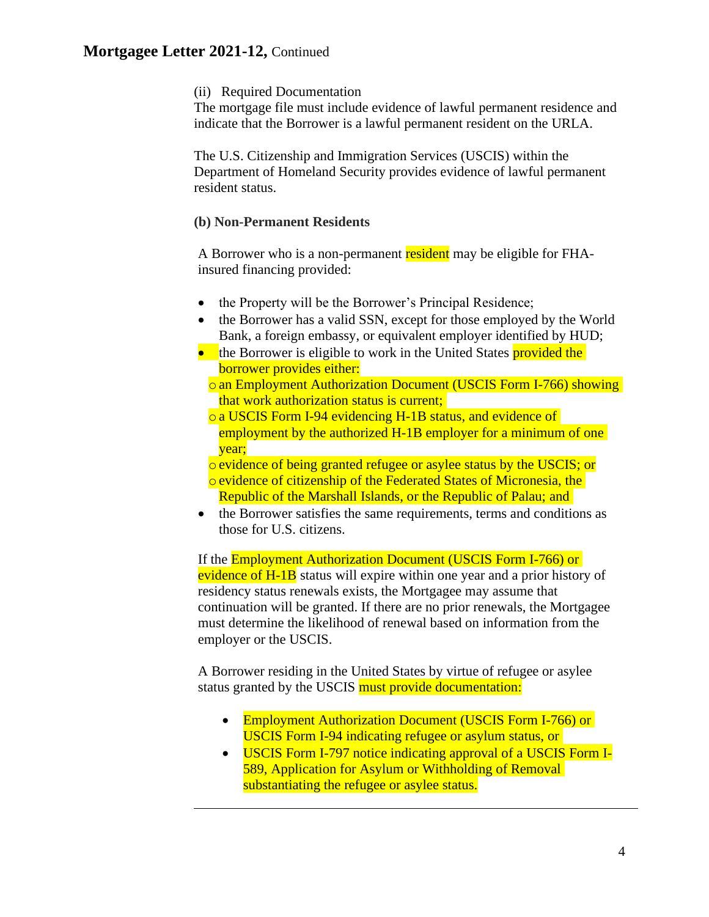## **Mortgagee Letter 2021-12,** Continued

(ii) Required Documentation

The mortgage file must include evidence of lawful permanent residence and indicate that the Borrower is a lawful permanent resident on the URLA.

The U.S. Citizenship and Immigration Services (USCIS) within the Department of Homeland Security provides evidence of lawful permanent resident status.

### **(b) Non-Permanent Residents**

A Borrower who is a non-permanent resident may be eligible for FHAinsured financing provided:

- the Property will be the Borrower's Principal Residence;
- the Borrower has a valid SSN, except for those employed by the World Bank, a foreign embassy, or equivalent employer identified by HUD;
- the Borrower is eligible to work in the United States **provided the** borrower provides either:
	- oan Employment Authorization Document (USCIS Form I-766) showing that work authorization status is current;
	- oa USCIS Form I-94 evidencing H-1B status, and evidence of employment by the authorized H-1B employer for a minimum of one vear:
	- oevidence of being granted refugee or asylee status by the USCIS; or
	- oevidence of citizenship of the Federated States of Micronesia, the Republic of the Marshall Islands, or the Republic of Palau; and
- the Borrower satisfies the same requirements, terms and conditions as those for U.S. citizens.

If the Employment Authorization Document (USCIS Form I-766) or evidence of H-1B status will expire within one year and a prior history of residency status renewals exists, the Mortgagee may assume that continuation will be granted. If there are no prior renewals, the Mortgagee must determine the likelihood of renewal based on information from the employer or the USCIS.

A Borrower residing in the United States by virtue of refugee or asylee status granted by the USCIS must provide documentation:

- Employment Authorization Document (USCIS Form I-766) or USCIS Form I-94 indicating refugee or asylum status, or
- USCIS Form I-797 notice indicating approval of a USCIS Form I-589, Application for Asylum or Withholding of Removal substantiating the refugee or asylee status.